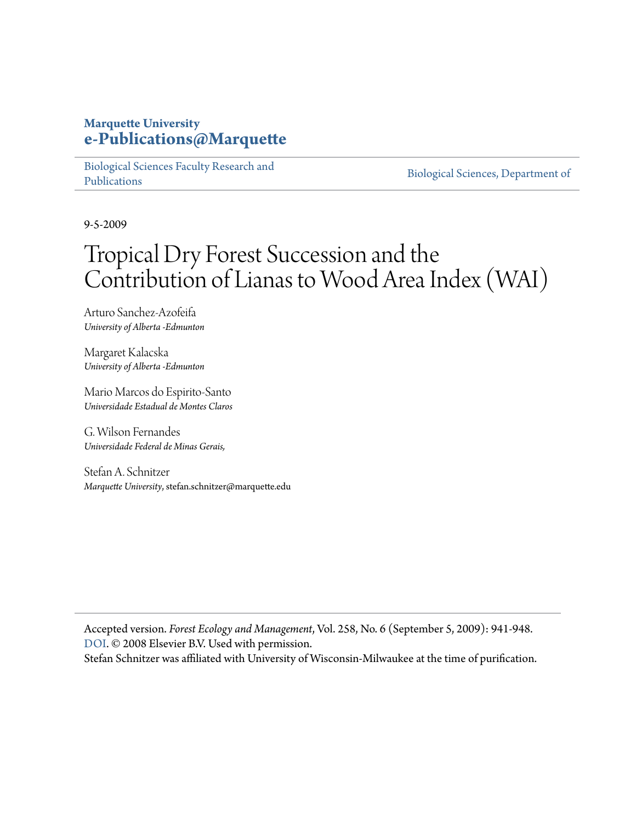## **Marquette University [e-Publications@Marquette](https://epublications.marquette.edu)**

[Biological Sciences Faculty Research and](https://epublications.marquette.edu/bio_fac) [Publications](https://epublications.marquette.edu/bio_fac)

[Biological Sciences, Department of](https://epublications.marquette.edu/biology)

9-5-2009

## Tropical Dry Forest Succession and the Contribution of Lianas to Wood Area Index (WAI)

Arturo Sanchez-Azofeifa *University of Alberta -Edmunton*

Margaret Kalacska *University of Alberta -Edmunton*

Mario Marcos do Espirito-Santo *Universidade Estadual de Montes Claros*

G. Wilson Fernandes *Universidade Federal de Minas Gerais,*

Stefan A. Schnitzer *Marquette University*, stefan.schnitzer@marquette.edu

Accepted version. *Forest Ecology and Management*, Vol. 258, No. 6 (September 5, 2009): 941-948. [DOI](https://doi.org/10.1016/j.foreco.2008.10.007). © 2008 Elsevier B.V. Used with permission. Stefan Schnitzer was affiliated with University of Wisconsin-Milwaukee at the time of purification.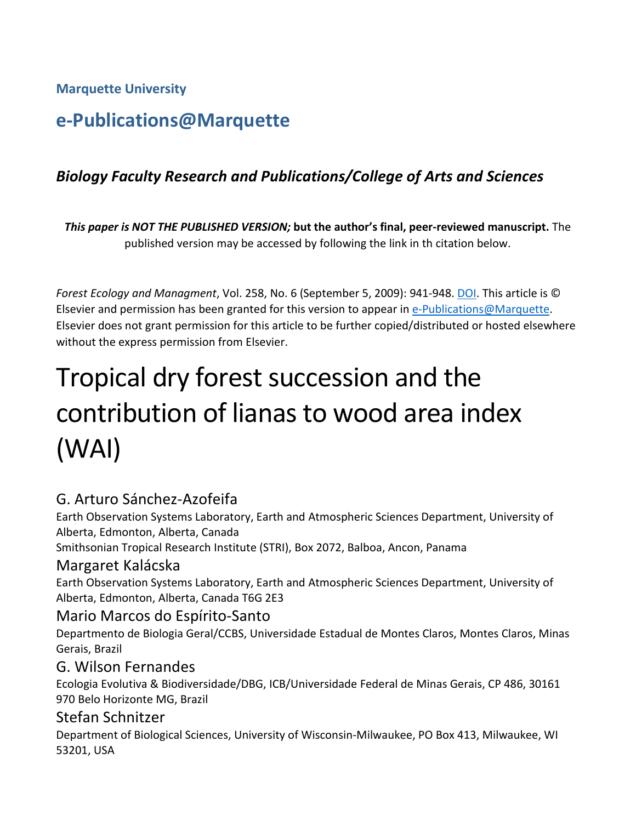**Marquette University**

## **e-Publications@Marquette**

## *Biology Faculty Research and Publications/College of Arts and Sciences*

*This paper is NOT THE PUBLISHED VERSION;* **but the author's final, peer-reviewed manuscript.** The published version may be accessed by following the link in th citation below.

*Forest Ecology and Managment*, Vol. 258, No. 6 (September 5, 2009): 941-948. [DOI.](https://doi.org/10.1016/j.foreco.2008.10.007) This article is © Elsevier and permission has been granted for this version to appear in [e-Publications@Marquette.](http://epublications.marquette.edu/) Elsevier does not grant permission for this article to be further copied/distributed or hosted elsewhere without the express permission from Elsevier.

# Tropical dry forest succession and the contribution of lianas to wood area index (WAI)

## G. Arturo Sánchez-Azofeifa

Earth Observation Systems Laboratory, Earth and Atmospheric Sciences Department, University of Alberta, Edmonton, Alberta, Canada

Smithsonian Tropical Research Institute (STRI), Box 2072, Balboa, Ancon, Panama

## Margaret Kalácska

Earth Observation Systems Laboratory, Earth and Atmospheric Sciences Department, University of Alberta, Edmonton, Alberta, Canada T6G 2E3

## [Mario Marcos do](https://www.sciencedirect.com/science/article/pii/S0378112708007639?via%3Dihub#!) Espírito-Santo

Departmento de Biologia Geral/CCBS, Universidade Estadual de Montes Claros, Montes Claros, Minas Gerais, Brazil

## G. Wilson [Fernandes](https://www.sciencedirect.com/science/article/pii/S0378112708007639?via%3Dihub#!)

Ecologia Evolutiva & Biodiversidade/DBG, ICB/Universidade Federal de Minas Gerais, CP 486, 30161 970 Belo Horizonte MG, Brazil

## Stefan [Schnitzer](https://www.sciencedirect.com/science/article/pii/S0378112708007639?via%3Dihub#!)

Department of Biological Sciences, University of Wisconsin-Milwaukee, PO Box 413, Milwaukee, WI 53201, USA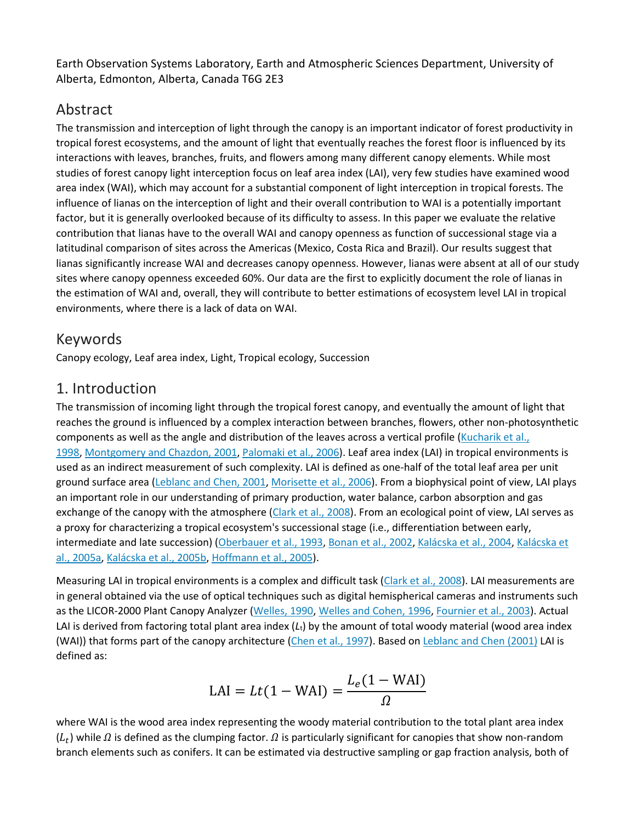Earth Observation Systems Laboratory, Earth and Atmospheric Sciences Department, University of Alberta, Edmonton, Alberta, Canada T6G 2E3

## Abstract

The transmission and interception of light through the canopy is an important indicator of forest productivity in tropical forest ecosystems, and the amount of light that eventually reaches the forest floor is influenced by its interactions with leaves, branches, fruits, and flowers among many different canopy elements. While most studies of forest canopy light interception focus on leaf area index (LAI), very few studies have examined wood area index (WAI), which may account for a substantial component of light interception in tropical forests. The influence of lianas on the interception of light and their overall contribution to WAI is a potentially important factor, but it is generally overlooked because of its difficulty to assess. In this paper we evaluate the relative contribution that lianas have to the overall WAI and canopy openness as function of successional stage via a latitudinal comparison of sites across the Americas (Mexico, Costa Rica and Brazil). Our results suggest that lianas significantly increase WAI and decreases canopy openness. However, lianas were absent at all of our study sites where canopy openness exceeded 60%. Our data are the first to explicitly document the role of lianas in the estimation of WAI and, overall, they will contribute to better estimations of ecosystem level LAI in tropical environments, where there is a lack of data on WAI.

## Keywords

Canopy ecology, Leaf area index, Light, Tropical ecology, Succession

## 1. Introduction

The transmission of incoming light through the tropical forest canopy, and eventually the amount of light that reaches the ground is influenced by a complex interaction between branches, flowers, other non-photosynthetic components as well as the angle and distribution of the leaves across a vertical profile [\(Kucharik et al.,](https://www.sciencedirect.com/science/article/pii/S0378112708007639?via%3Dihub#bib25)  [1998,](https://www.sciencedirect.com/science/article/pii/S0378112708007639?via%3Dihub#bib25) [Montgomery and Chazdon, 2001,](https://www.sciencedirect.com/science/article/pii/S0378112708007639?via%3Dihub#bib35) [Palomaki et al., 2006\)](https://www.sciencedirect.com/science/article/pii/S0378112708007639?via%3Dihub#bib38). Leaf area index (LAI) in tropical environments is used as an indirect measurement of such complexity. LAI is defined as one-half of the total leaf area per unit ground surface area [\(Leblanc and Chen, 2001,](https://www.sciencedirect.com/science/article/pii/S0378112708007639?via%3Dihub#bib27) [Morisette et al., 2006\)](https://www.sciencedirect.com/science/article/pii/S0378112708007639?via%3Dihub#bib36). From a biophysical point of view, LAI plays an important role in our understanding of primary production, water balance, carbon absorption and gas exchange of the canopy with the atmosphere [\(Clark et al., 2008\)](https://www.sciencedirect.com/science/article/pii/S0378112708007639?via%3Dihub#bib7). From an ecological point of view, LAI serves as a proxy for characterizing a tropical ecosystem's successional stage (i.e., differentiation between early, intermediate and late succession) [\(Oberbauer et al., 1993,](https://www.sciencedirect.com/science/article/pii/S0378112708007639?via%3Dihub#bib37) [Bonan et al., 2002,](https://www.sciencedirect.com/science/article/pii/S0378112708007639?via%3Dihub#bib5) [Kalácska et al., 2004,](https://www.sciencedirect.com/science/article/pii/S0378112708007639?via%3Dihub#bib20) [Kalácska et](https://www.sciencedirect.com/science/article/pii/S0378112708007639?via%3Dihub#bib21)  [al., 2005a,](https://www.sciencedirect.com/science/article/pii/S0378112708007639?via%3Dihub#bib21) [Kalácska et al., 2005b,](https://www.sciencedirect.com/science/article/pii/S0378112708007639?via%3Dihub#bib22) [Hoffmann et al., 2005\)](https://www.sciencedirect.com/science/article/pii/S0378112708007639?via%3Dihub#bib14).

Measuring LAI in tropical environments is a complex and difficult task [\(Clark et al., 2008\)](https://www.sciencedirect.com/science/article/pii/S0378112708007639?via%3Dihub#bib7). LAI measurements are in general obtained via the use of optical techniques such as digital hemispherical cameras and instruments such as the LICOR-2000 Plant Canopy Analyzer [\(Welles, 1990,](https://www.sciencedirect.com/science/article/pii/S0378112708007639?via%3Dihub#bib51) [Welles and Cohen, 1996,](https://www.sciencedirect.com/science/article/pii/S0378112708007639?via%3Dihub#bib52) [Fournier et al., 2003\)](https://www.sciencedirect.com/science/article/pii/S0378112708007639?via%3Dihub#bib11). Actual LAI is derived from factoring total plant area index (*L*t) by the amount of total woody material (wood area index (WAI)) that forms part of the canopy architecture [\(Chen et al., 1997\)](https://www.sciencedirect.com/science/article/pii/S0378112708007639?via%3Dihub#bib6). Based on [Leblanc and Chen \(2001\)](https://www.sciencedirect.com/science/article/pii/S0378112708007639?via%3Dihub#bib27) LAI is defined as:

$$
LAI = Lt(1 - WAI) = \frac{L_e(1 - WAI)}{\Omega}
$$

where WAI is the wood area index representing the woody material contribution to the total plant area index  $(L_t)$  while  $\Omega$  is defined as the clumping factor.  $\Omega$  is particularly significant for canopies that show non-random branch elements such as conifers. It can be estimated via destructive sampling or gap fraction analysis, both of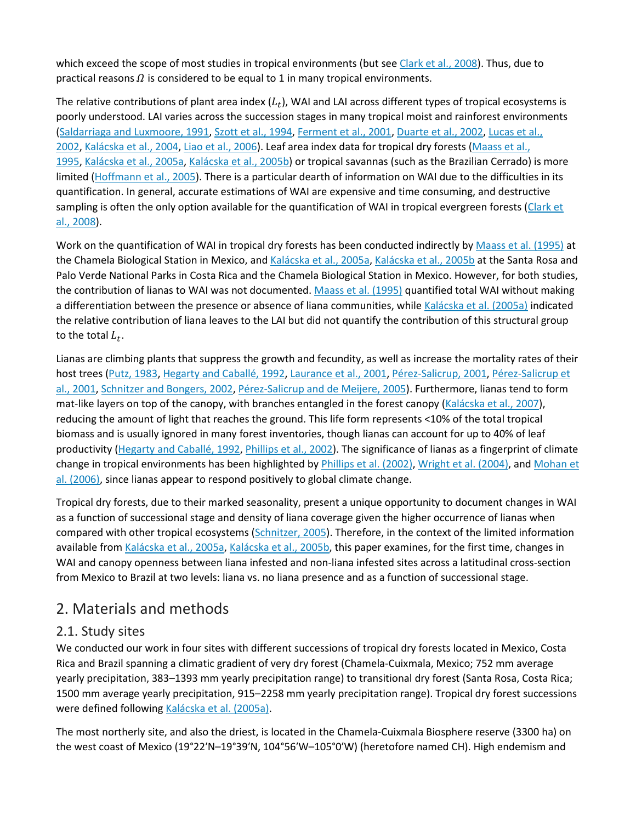which exceed the scope of most studies in tropical environments (but see [Clark et al., 2008\)](https://www.sciencedirect.com/science/article/pii/S0378112708007639?via%3Dihub#bib7). Thus, due to practical reasons  $\Omega$  is considered to be equal to 1 in many tropical environments.

The relative contributions of plant area index  $(L_t)$ , WAI and LAI across different types of tropical ecosystems is poorly understood. LAI varies across the succession stages in many tropical moist and rainforest environments [\(Saldarriaga and Luxmoore, 1991,](https://www.sciencedirect.com/science/article/pii/S0378112708007639?via%3Dihub#bib45) [Szott et al., 1994,](https://www.sciencedirect.com/science/article/pii/S0378112708007639?via%3Dihub#bib50) [Ferment et al., 2001,](https://www.sciencedirect.com/science/article/pii/S0378112708007639?via%3Dihub#bib10) [Duarte et al., 2002,](https://www.sciencedirect.com/science/article/pii/S0378112708007639?via%3Dihub#bib9) [Lucas et al.,](https://www.sciencedirect.com/science/article/pii/S0378112708007639?via%3Dihub#bib31)  [2002,](https://www.sciencedirect.com/science/article/pii/S0378112708007639?via%3Dihub#bib31) [Kalácska et al., 2004,](https://www.sciencedirect.com/science/article/pii/S0378112708007639?via%3Dihub#bib20) [Liao et al., 2006\)](https://www.sciencedirect.com/science/article/pii/S0378112708007639?via%3Dihub#bib28). Leaf area index data for tropical dry forests [\(Maass et al.,](https://www.sciencedirect.com/science/article/pii/S0378112708007639?via%3Dihub#bib32)  [1995,](https://www.sciencedirect.com/science/article/pii/S0378112708007639?via%3Dihub#bib32) [Kalácska et al., 2005a,](https://www.sciencedirect.com/science/article/pii/S0378112708007639?via%3Dihub#bib21) [Kalácska et al., 2005b\)](https://www.sciencedirect.com/science/article/pii/S0378112708007639?via%3Dihub#bib22) or tropical savannas (such as the Brazilian Cerrado) is more limited [\(Hoffmann et al., 2005\)](https://www.sciencedirect.com/science/article/pii/S0378112708007639?via%3Dihub#bib14). There is a particular dearth of information on WAI due to the difficulties in its quantification. In general, accurate estimations of WAI are expensive and time consuming, and destructive sampling is often the only option available for the quantification of WAI in tropical evergreen forests (Clark et [al., 2008\)](https://www.sciencedirect.com/science/article/pii/S0378112708007639?via%3Dihub#bib7).

Work on the quantification of WAI in tropical dry forests has been conducted indirectly by [Maass et al. \(1995\)](https://www.sciencedirect.com/science/article/pii/S0378112708007639?via%3Dihub#bib32) at the Chamela Biological Station in Mexico, and [Kalácska et al., 2005a,](https://www.sciencedirect.com/science/article/pii/S0378112708007639?via%3Dihub#bib21) [Kalácska et al., 2005b](https://www.sciencedirect.com/science/article/pii/S0378112708007639?via%3Dihub#bib22) at the Santa Rosa and Palo Verde National Parks in Costa Rica and the Chamela Biological Station in Mexico. However, for both studies, the contribution of lianas to WAI was not documented. [Maass et al. \(1995\)](https://www.sciencedirect.com/science/article/pii/S0378112708007639?via%3Dihub#bib32) quantified total WAI without making a differentiation between the presence or absence of liana communities, while [Kalácska et al. \(2005a\)](https://www.sciencedirect.com/science/article/pii/S0378112708007639?via%3Dihub#bib21) indicated the relative contribution of liana leaves to the LAI but did not quantify the contribution of this structural group to the total  $L_t$ .

Lianas are climbing plants that suppress the growth and fecundity, as well as increase the mortality rates of their host trees [\(Putz, 1983,](https://www.sciencedirect.com/science/article/pii/S0378112708007639?via%3Dihub#bib43) [Hegarty and Caballé, 1992,](https://www.sciencedirect.com/science/article/pii/S0378112708007639?via%3Dihub#bib13) [Laurance et al., 2001,](https://www.sciencedirect.com/science/article/pii/S0378112708007639?via%3Dihub#bib26) [Pérez-Salicrup, 2001,](https://www.sciencedirect.com/science/article/pii/S0378112708007639?via%3Dihub#bib39) [Pérez-Salicrup et](https://www.sciencedirect.com/science/article/pii/S0378112708007639?via%3Dihub#bib40)  [al., 2001,](https://www.sciencedirect.com/science/article/pii/S0378112708007639?via%3Dihub#bib40) [Schnitzer and Bongers, 2002,](https://www.sciencedirect.com/science/article/pii/S0378112708007639?via%3Dihub#bib47) [Pérez-Salicrup and de Meijere, 2005\)](https://www.sciencedirect.com/science/article/pii/S0378112708007639?via%3Dihub#bib41). Furthermore, lianas tend to form mat-like layers on top of the canopy, with branches entangled in the forest canopy [\(Kalácska et al., 2007\)](https://www.sciencedirect.com/science/article/pii/S0378112708007639?via%3Dihub#bib23), reducing the amount of light that reaches the ground. This life form represents <10% of the total tropical biomass and is usually ignored in many forest inventories, though lianas can account for up to 40% of leaf productivity [\(Hegarty and Caballé, 1992,](https://www.sciencedirect.com/science/article/pii/S0378112708007639?via%3Dihub#bib13) [Phillips et al., 2002\)](https://www.sciencedirect.com/science/article/pii/S0378112708007639?via%3Dihub#bib42). The significance of lianas as a fingerprint of climate change in tropical environments has been highlighted by [Phillips et al. \(2002\),](https://www.sciencedirect.com/science/article/pii/S0378112708007639?via%3Dihub#bib42) [Wright et al. \(2004\),](https://www.sciencedirect.com/science/article/pii/S0378112708007639?via%3Dihub#bib53) and [Mohan et](https://www.sciencedirect.com/science/article/pii/S0378112708007639?via%3Dihub#bib34)  [al. \(2006\),](https://www.sciencedirect.com/science/article/pii/S0378112708007639?via%3Dihub#bib34) since lianas appear to respond positively to global climate change.

Tropical dry forests, due to their marked seasonality, present a unique opportunity to document changes in WAI as a function of successional stage and density of liana coverage given the higher occurrence of lianas when compared with other tropical ecosystems [\(Schnitzer, 2005\)](https://www.sciencedirect.com/science/article/pii/S0378112708007639?via%3Dihub#bib46). Therefore, in the context of the limited information available from [Kalácska et al., 2005a,](https://www.sciencedirect.com/science/article/pii/S0378112708007639?via%3Dihub#bib21) [Kalácska et al., 2005b,](https://www.sciencedirect.com/science/article/pii/S0378112708007639?via%3Dihub#bib22) this paper examines, for the first time, changes in WAI and canopy openness between liana infested and non-liana infested sites across a latitudinal cross-section from Mexico to Brazil at two levels: liana vs. no liana presence and as a function of successional stage.

## 2. Materials and methods

## 2.1. Study sites

We conducted our work in four sites with different successions of tropical dry forests located in Mexico, Costa Rica and Brazil spanning a climatic gradient of very dry forest (Chamela-Cuixmala, Mexico; 752 mm average yearly precipitation, 383–1393 mm yearly precipitation range) to transitional dry forest (Santa Rosa, Costa Rica; 1500 mm average yearly precipitation, 915–2258 mm yearly precipitation range). Tropical dry forest successions were defined following [Kalácska et al. \(2005a\).](https://www.sciencedirect.com/science/article/pii/S0378112708007639?via%3Dihub#bib21)

The most northerly site, and also the driest, is located in the Chamela-Cuixmala Biosphere reserve (3300 ha) on the west coast of Mexico (19°22′N–19°39′N, 104°56′W–105°0′W) (heretofore named CH). High endemism and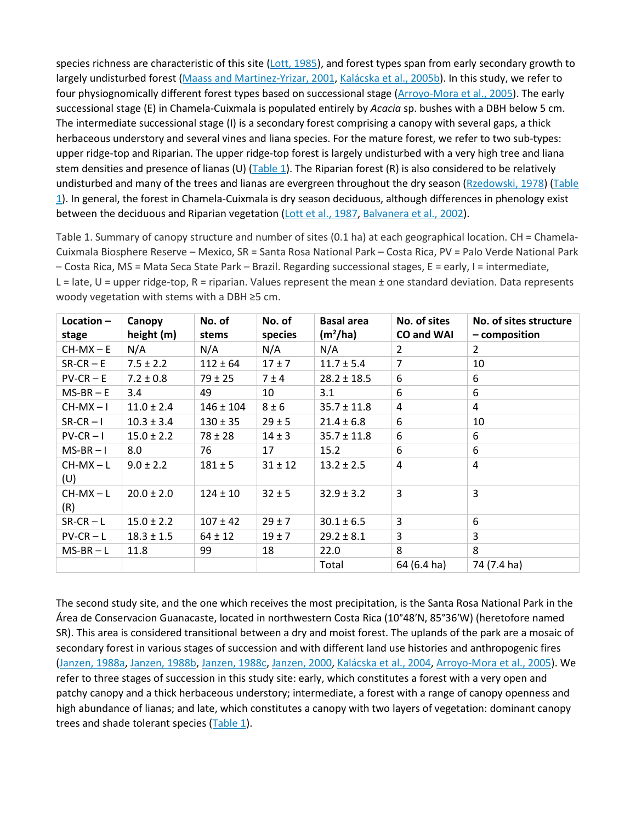species richness are characteristic of this site [\(Lott, 1985\)](https://www.sciencedirect.com/science/article/pii/S0378112708007639?via%3Dihub#bib29), and forest types span from early secondary growth to largely undisturbed forest [\(Maass and Martinez-Yrizar, 2001,](https://www.sciencedirect.com/science/article/pii/S0378112708007639?via%3Dihub#bib33) [Kalácska et al., 2005b\)](https://www.sciencedirect.com/science/article/pii/S0378112708007639?via%3Dihub#bib22). In this study, we refer to four physiognomically different forest types based on successional stage [\(Arroyo-Mora et al., 2005\)](https://www.sciencedirect.com/science/article/pii/S0378112708007639?via%3Dihub#bib2). The early successional stage (E) in Chamela-Cuixmala is populated entirely by *Acacia* sp. bushes with a DBH below 5 cm. The intermediate successional stage (I) is a secondary forest comprising a canopy with several gaps, a thick herbaceous understory and several vines and liana species. For the mature forest, we refer to two sub-types: upper ridge-top and Riparian. The upper ridge-top forest is largely undisturbed with a very high tree and liana stem densities and presence of lianas (U)  $(Table 1)$ . The Riparian forest (R) is also considered to be relatively undisturbed and many of the trees and lianas are evergreen throughout the dry season [\(Rzedowski, 1978\)](https://www.sciencedirect.com/science/article/pii/S0378112708007639?via%3Dihub#bib44) [\(Table](https://www.sciencedirect.com/science/article/pii/S0378112708007639?via%3Dihub#tbl1)  [1\)](https://www.sciencedirect.com/science/article/pii/S0378112708007639?via%3Dihub#tbl1). In general, the forest in Chamela-Cuixmala is dry season deciduous, although differences in phenology exist between the deciduous and Riparian vegetation [\(Lott et al., 1987,](https://www.sciencedirect.com/science/article/pii/S0378112708007639?via%3Dihub#bib30) [Balvanera et al., 2002\)](https://www.sciencedirect.com/science/article/pii/S0378112708007639?via%3Dihub#bib4).

Table 1. Summary of canopy structure and number of sites (0.1 ha) at each geographical location. CH = Chamela-Cuixmala Biosphere Reserve – Mexico, SR = Santa Rosa National Park – Costa Rica, PV = Palo Verde National Park – Costa Rica, MS = Mata Seca State Park – Brazil. Regarding successional stages, E = early, I = intermediate,  $L =$  late,  $U =$  upper ridge-top, R = riparian. Values represent the mean  $\pm$  one standard deviation. Data represents woody vegetation with stems with a DBH ≥5 cm.

| $Location -$<br>stage | Canopy<br>height (m) | No. of<br>stems | No. of<br>species | <b>Basal area</b><br>(m <sup>2</sup> /ha) | No. of sites<br><b>CO and WAI</b> | No. of sites structure<br>- composition |
|-----------------------|----------------------|-----------------|-------------------|-------------------------------------------|-----------------------------------|-----------------------------------------|
| $CH-MX - E$           | N/A                  | N/A             | N/A               | N/A                                       | $\overline{2}$                    | $\overline{2}$                          |
| $SR-CR - E$           | $7.5 \pm 2.2$        | $112 \pm 64$    | $17 + 7$          | $11.7 \pm 5.4$                            | $\overline{7}$                    | 10                                      |
| $PV-CR - E$           | $7.2 \pm 0.8$        | $79 \pm 25$     | 7±4               | $28.2 \pm 18.5$                           | 6                                 | 6                                       |
| $MS-BR - E$           | 3.4                  | 49              | 10                | 3.1                                       | 6                                 | 6                                       |
| $CH-MX-I$             | $11.0 \pm 2.4$       | $146 \pm 104$   | $8 \pm 6$         | $35.7 \pm 11.8$                           | 4                                 | 4                                       |
| $SR-CR - 1$           | $10.3 \pm 3.4$       | $130 \pm 35$    | $29 \pm 5$        | $21.4 \pm 6.8$                            | 6                                 | 10                                      |
| $PV-CR - I$           | $15.0 \pm 2.2$       | $78 \pm 28$     | $14 \pm 3$        | $35.7 \pm 11.8$                           | 6                                 | 6                                       |
| $MS-BR - I$           | 8.0                  | 76              | 17                | 15.2                                      | 6                                 | 6                                       |
| $CH-MX - L$<br>(U)    | $9.0 \pm 2.2$        | $181 \pm 5$     | $31 \pm 12$       | $13.2 \pm 2.5$                            | 4                                 | 4                                       |
| $CH-MX - L$<br>(R)    | $20.0 \pm 2.0$       | $124 \pm 10$    | $32 \pm 5$        | $32.9 \pm 3.2$                            | 3                                 | 3                                       |
| $SR-CR - L$           | $15.0 \pm 2.2$       | $107 \pm 42$    | $29 \pm 7$        | $30.1 \pm 6.5$                            | $\overline{3}$                    | 6                                       |
| $PV-CR - L$           | $18.3 \pm 1.5$       | $64 \pm 12$     | $19 \pm 7$        | $29.2 \pm 8.1$                            | $\overline{3}$                    | 3                                       |
| $MS-BR - L$           | 11.8                 | 99              | 18                | 22.0                                      | 8                                 | 8                                       |
|                       |                      |                 |                   | Total                                     | 64 (6.4 ha)                       | 74 (7.4 ha)                             |

The second study site, and the one which receives the most precipitation, is the Santa Rosa National Park in the Área de Conservacion Guanacaste, located in northwestern Costa Rica (10°48′N, 85°36′W) (heretofore named SR). This area is considered transitional between a dry and moist forest. The uplands of the park are a mosaic of secondary forest in various stages of succession and with different land use histories and anthropogenic fires [\(Janzen, 1988a,](https://www.sciencedirect.com/science/article/pii/S0378112708007639?via%3Dihub#bib16) [Janzen, 1988b,](https://www.sciencedirect.com/science/article/pii/S0378112708007639?via%3Dihub#bib17) [Janzen, 1988c,](https://www.sciencedirect.com/science/article/pii/S0378112708007639?via%3Dihub#bib18) [Janzen, 2000,](https://www.sciencedirect.com/science/article/pii/S0378112708007639?via%3Dihub#bib19) [Kalácska et al., 2004,](https://www.sciencedirect.com/science/article/pii/S0378112708007639?via%3Dihub#bib20) [Arroyo-Mora et al., 2005\)](https://www.sciencedirect.com/science/article/pii/S0378112708007639?via%3Dihub#bib2). We refer to three stages of succession in this study site: early, which constitutes a forest with a very open and patchy canopy and a thick herbaceous understory; intermediate, a forest with a range of canopy openness and high abundance of lianas; and late, which constitutes a canopy with two layers of vegetation: dominant canopy trees and shade tolerant species [\(Table 1\)](https://www.sciencedirect.com/science/article/pii/S0378112708007639?via%3Dihub#tbl1).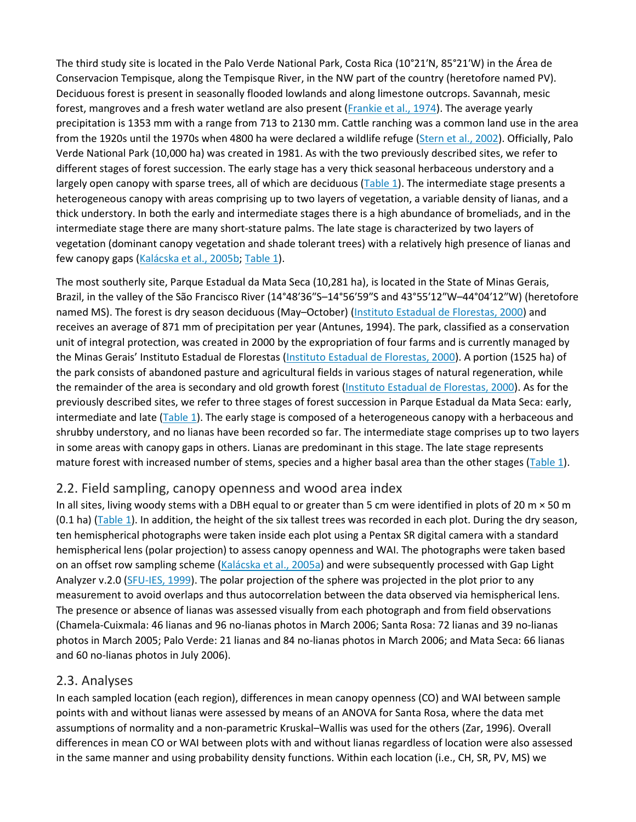The third study site is located in the Palo Verde National Park, Costa Rica (10°21′N, 85°21′W) in the Área de Conservacion Tempisque, along the Tempisque River, in the NW part of the country (heretofore named PV). Deciduous forest is present in seasonally flooded lowlands and along limestone outcrops. Savannah, mesic forest, mangroves and a fresh water wetland are also present [\(Frankie et al., 1974\)](https://www.sciencedirect.com/science/article/pii/S0378112708007639?via%3Dihub#bib12). The average yearly precipitation is 1353 mm with a range from 713 to 2130 mm. Cattle ranching was a common land use in the area from the 1920s until the 1970s when 4800 ha were declared a wildlife refuge [\(Stern et al., 2002\)](https://www.sciencedirect.com/science/article/pii/S0378112708007639?via%3Dihub#bib49). Officially, Palo Verde National Park (10,000 ha) was created in 1981. As with the two previously described sites, we refer to different stages of forest succession. The early stage has a very thick seasonal herbaceous understory and a largely open canopy with sparse trees, all of which are deciduous [\(Table 1\)](https://www.sciencedirect.com/science/article/pii/S0378112708007639?via%3Dihub#tbl1). The intermediate stage presents a heterogeneous canopy with areas comprising up to two layers of vegetation, a variable density of lianas, and a thick understory. In both the early and intermediate stages there is a high abundance of bromeliads, and in the intermediate stage there are many short-stature palms. The late stage is characterized by two layers of vegetation (dominant canopy vegetation and shade tolerant trees) with a relatively high presence of lianas and few canopy gaps [\(Kalácska et al., 2005b;](https://www.sciencedirect.com/science/article/pii/S0378112708007639?via%3Dihub#bib22) [Table 1\)](https://www.sciencedirect.com/science/article/pii/S0378112708007639?via%3Dihub#tbl1).

The most southerly site, Parque Estadual da Mata Seca (10,281 ha), is located in the State of Minas Gerais, Brazil, in the valley of the São Francisco River (14°48′36″S–14°56′59″S and 43°55′12″W–44°04′12″W) (heretofore named MS). The forest is dry season deciduous (May–October) [\(Instituto Estadual de Florestas, 2000\)](https://www.sciencedirect.com/science/article/pii/S0378112708007639?via%3Dihub#bib15) and receives an average of 871 mm of precipitation per year (Antunes, 1994). The park, classified as a conservation unit of integral protection, was created in 2000 by the expropriation of four farms and is currently managed by the Minas Gerais' Instituto Estadual de Florestas [\(Instituto Estadual de Florestas, 2000\)](https://www.sciencedirect.com/science/article/pii/S0378112708007639?via%3Dihub#bib15). A portion (1525 ha) of the park consists of abandoned pasture and agricultural fields in various stages of natural regeneration, while the remainder of the area is secondary and old growth forest [\(Instituto Estadual de Florestas, 2000\)](https://www.sciencedirect.com/science/article/pii/S0378112708007639?via%3Dihub#bib15). As for the previously described sites, we refer to three stages of forest succession in Parque Estadual da Mata Seca: early, intermediate and late [\(Table 1\)](https://www.sciencedirect.com/science/article/pii/S0378112708007639?via%3Dihub#tbl1). The early stage is composed of a heterogeneous canopy with a herbaceous and shrubby understory, and no lianas have been recorded so far. The intermediate stage comprises up to two layers in some areas with canopy gaps in others. Lianas are predominant in this stage. The late stage represents mature forest with increased number of stems, species and a higher basal area than the other stages [\(Table 1\)](https://www.sciencedirect.com/science/article/pii/S0378112708007639?via%3Dihub#tbl1).

#### 2.2. Field sampling, canopy openness and wood area index

In all sites, living woody stems with a DBH equal to or greater than 5 cm were identified in plots of 20 m  $\times$  50 m (0.1 ha) [\(Table 1\)](https://www.sciencedirect.com/science/article/pii/S0378112708007639?via%3Dihub#tbl1). In addition, the height of the six tallest trees was recorded in each plot. During the dry season, ten hemispherical photographs were taken inside each plot using a Pentax SR digital camera with a standard hemispherical lens (polar projection) to assess canopy openness and WAI. The photographs were taken based on an offset row sampling scheme [\(Kalácska et al., 2005a\)](https://www.sciencedirect.com/science/article/pii/S0378112708007639?via%3Dihub#bib21) and were subsequently processed with Gap Light Analyzer v.2.0 [\(SFU-IES, 1999\)](https://www.sciencedirect.com/science/article/pii/S0378112708007639?via%3Dihub#bib48). The polar projection of the sphere was projected in the plot prior to any measurement to avoid overlaps and thus autocorrelation between the data observed via hemispherical lens. The presence or absence of lianas was assessed visually from each photograph and from field observations (Chamela-Cuixmala: 46 lianas and 96 no-lianas photos in March 2006; Santa Rosa: 72 lianas and 39 no-lianas photos in March 2005; Palo Verde: 21 lianas and 84 no-lianas photos in March 2006; and Mata Seca: 66 lianas and 60 no-lianas photos in July 2006).

#### 2.3. Analyses

In each sampled location (each region), differences in mean canopy openness (CO) and WAI between sample points with and without lianas were assessed by means of an ANOVA for Santa Rosa, where the data met assumptions of normality and a non-parametric Kruskal–Wallis was used for the others (Zar, 1996). Overall differences in mean CO or WAI between plots with and without lianas regardless of location were also assessed in the same manner and using probability density functions. Within each location (i.e., CH, SR, PV, MS) we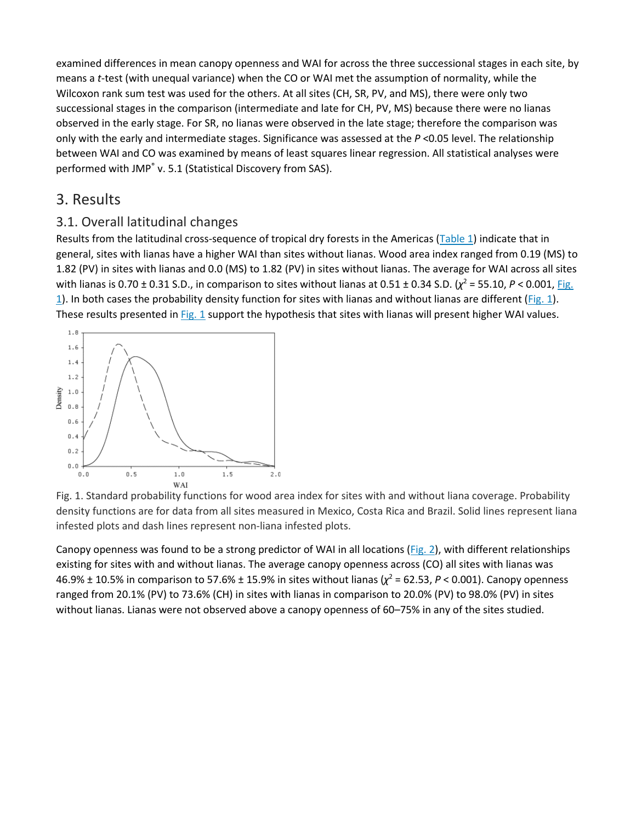examined differences in mean canopy openness and WAI for across the three successional stages in each site, by means a *t*-test (with unequal variance) when the CO or WAI met the assumption of normality, while the Wilcoxon rank sum test was used for the others. At all sites (CH, SR, PV, and MS), there were only two successional stages in the comparison (intermediate and late for CH, PV, MS) because there were no lianas observed in the early stage. For SR, no lianas were observed in the late stage; therefore the comparison was only with the early and intermediate stages. Significance was assessed at the *P* <0.05 level. The relationship between WAI and CO was examined by means of least squares linear regression. All statistical analyses were performed with JMP<sup>®</sup> v. 5.1 (Statistical Discovery from SAS).

### 3. Results

#### 3.1. Overall latitudinal changes

Results from the latitudinal cross-sequence of tropical dry forests in the Americas [\(Table 1\)](https://www.sciencedirect.com/science/article/pii/S0378112708007639?via%3Dihub#tbl1) indicate that in general, sites with lianas have a higher WAI than sites without lianas. Wood area index ranged from 0.19 (MS) to 1.82 (PV) in sites with lianas and 0.0 (MS) to 1.82 (PV) in sites without lianas. The average for WAI across all sites with lianas is 0.70 ± 0.31 S.D., in comparison to sites without lianas at 0.51 ± 0.34 S.D. ( $\chi^2$  = 55.10, *P* < 0.001, Fig. [1\)](https://www.sciencedirect.com/science/article/pii/S0378112708007639?via%3Dihub#fig1). In both cases the probability density function for sites with lianas and without lianas are different ( $Fig. 1$ ). These results presented in [Fig. 1](https://www.sciencedirect.com/science/article/pii/S0378112708007639?via%3Dihub#fig1) support the hypothesis that sites with lianas will present higher WAI values.



Fig. 1. Standard probability functions for wood area index for sites with and without liana coverage. Probability density functions are for data from all sites measured in Mexico, Costa Rica and Brazil. Solid lines represent liana infested plots and dash lines represent non-liana infested plots.

Canopy openness was found to be a strong predictor of WAI in all locations [\(Fig. 2\)](https://www.sciencedirect.com/science/article/pii/S0378112708007639?via%3Dihub#fig2), with different relationships existing for sites with and without lianas. The average canopy openness across (CO) all sites with lianas was 46.9% ± 10.5% in comparison to 57.6% ± 15.9% in sites without lianas ( $\chi^2$  = 62.53, *P* < 0.001). Canopy openness ranged from 20.1% (PV) to 73.6% (CH) in sites with lianas in comparison to 20.0% (PV) to 98.0% (PV) in sites without lianas. Lianas were not observed above a canopy openness of 60–75% in any of the sites studied.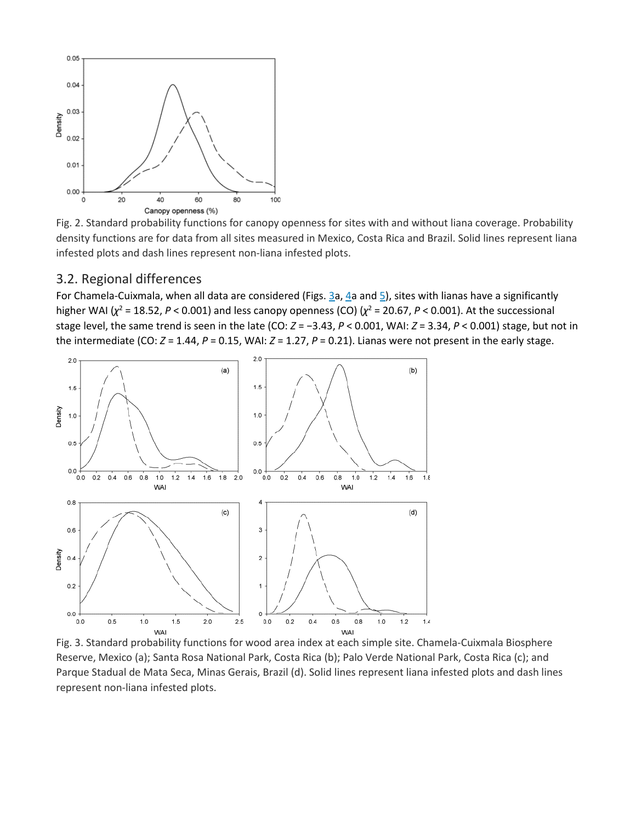

Fig. 2. Standard probability functions for canopy openness for sites with and without liana coverage. Probability density functions are for data from all sites measured in Mexico, Costa Rica and Brazil. Solid lines represent liana infested plots and dash lines represent non-liana infested plots.

#### 3.2. Regional differences

For Chamela-Cuixmala, when all data are considered (Figs. [3a](https://www.sciencedirect.com/science/article/pii/S0378112708007639?via%3Dihub#fig3), [4a](https://www.sciencedirect.com/science/article/pii/S0378112708007639?via%3Dihub#fig4) and [5\)](https://www.sciencedirect.com/science/article/pii/S0378112708007639?via%3Dihub#fig5), sites with lianas have a significantly higher WAI ( $\chi^2$  = 18.52, *P* < 0.001) and less canopy openness (CO) ( $\chi^2$  = 20.67, *P* < 0.001). At the successional stage level, the same trend is seen in the late (CO: *Z* = −3.43, *P* < 0.001, WAI: *Z* = 3.34, *P* < 0.001) stage, but not in the intermediate (CO:  $Z = 1.44$ ,  $P = 0.15$ , WAI:  $Z = 1.27$ ,  $P = 0.21$ ). Lianas were not present in the early stage.



Fig. 3. Standard probability functions for wood area index at each simple site. Chamela-Cuixmala Biosphere Reserve, Mexico (a); Santa Rosa National Park, Costa Rica (b); Palo Verde National Park, Costa Rica (c); and Parque Stadual de Mata Seca, Minas Gerais, Brazil (d). Solid lines represent liana infested plots and dash lines represent non-liana infested plots.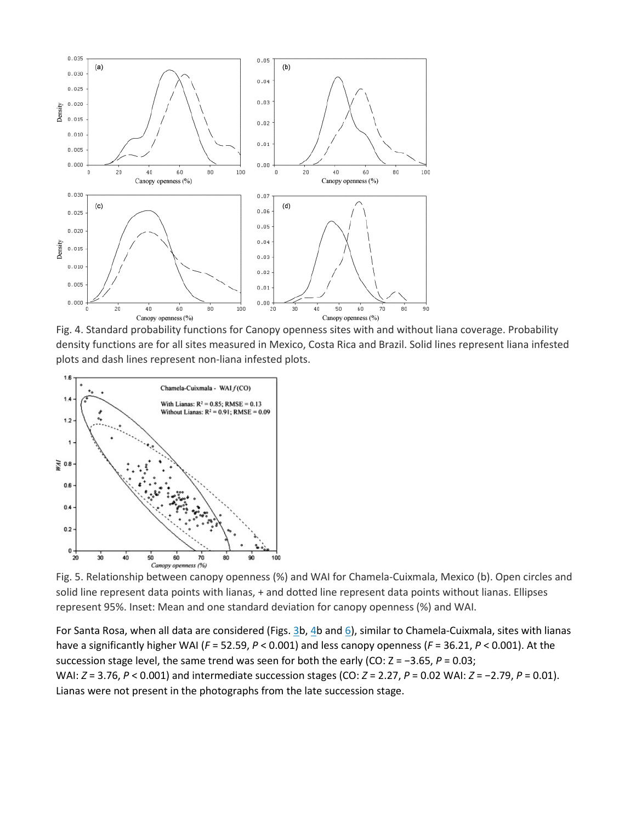

Fig. 4. Standard probability functions for Canopy openness sites with and without liana coverage. Probability density functions are for all sites measured in Mexico, Costa Rica and Brazil. Solid lines represent liana infested plots and dash lines represent non-liana infested plots.



Fig. 5. Relationship between canopy openness (%) and WAI for Chamela-Cuixmala, Mexico (b). Open circles and solid line represent data points with lianas, + and dotted line represent data points without lianas. Ellipses represent 95%. Inset: Mean and one standard deviation for canopy openness (%) and WAI.

For Santa Rosa, when all data are considered (Figs. [3b](https://www.sciencedirect.com/science/article/pii/S0378112708007639?via%3Dihub#fig3), [4b](https://www.sciencedirect.com/science/article/pii/S0378112708007639?via%3Dihub#fig4) and [6\)](https://www.sciencedirect.com/science/article/pii/S0378112708007639?via%3Dihub#fig6), similar to Chamela-Cuixmala, sites with lianas have a significantly higher WAI (*F* = 52.59, *P* < 0.001) and less canopy openness (*F* = 36.21, *P* < 0.001). At the succession stage level, the same trend was seen for both the early (CO: Z = −3.65, *P* = 0.03; WAI: *Z* = 3.76, *P* < 0.001) and intermediate succession stages (CO: *Z* = 2.27, *P* = 0.02 WAI: *Z* = −2.79, *P* = 0.01). Lianas were not present in the photographs from the late succession stage.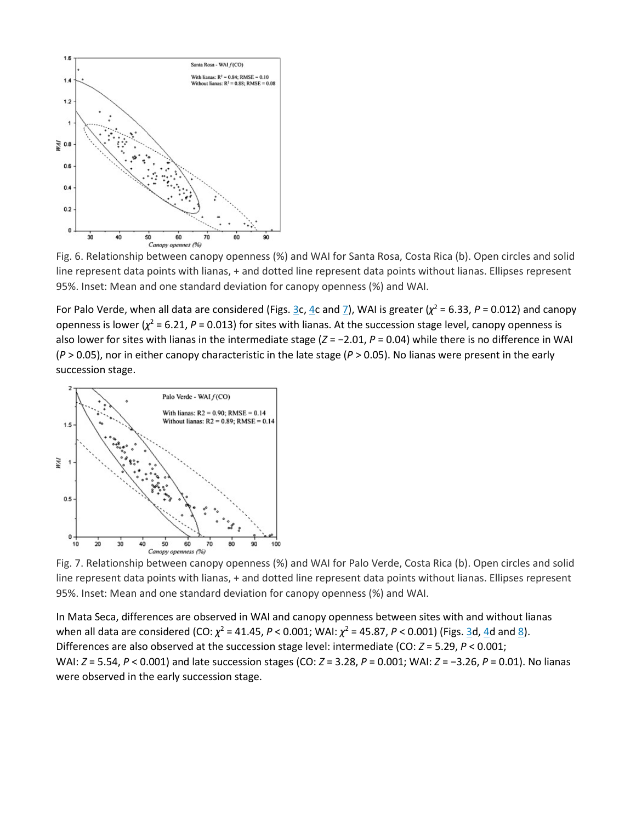

Fig. 6. Relationship between canopy openness (%) and WAI for Santa Rosa, Costa Rica (b). Open circles and solid line represent data points with lianas, + and dotted line represent data points without lianas. Ellipses represent 95%. Inset: Mean and one standard deviation for canopy openness (%) and WAI.

For Palo Verde, when all data are considered (Figs.  $3c$ ,  $4c$  and  $7$ ), WAI is greater ( $\chi^2$  = 6.33, P = 0.012) and canopy openness is lower ( $\chi^2$  = 6.21, P = 0.013) for sites with lianas. At the succession stage level, canopy openness is also lower for sites with lianas in the intermediate stage (*Z* = −2.01, *P* = 0.04) while there is no difference in WAI (*P* > 0.05), nor in either canopy characteristic in the late stage (*P* > 0.05). No lianas were present in the early succession stage.



Fig. 7. Relationship between canopy openness (%) and WAI for Palo Verde, Costa Rica (b). Open circles and solid line represent data points with lianas, + and dotted line represent data points without lianas. Ellipses represent 95%. Inset: Mean and one standard deviation for canopy openness (%) and WAI.

In Mata Seca, differences are observed in WAI and canopy openness between sites with and without lianas when all data are considered (CO:  $\chi^2$  = 41.45, *P* < 0.001; WAI:  $\chi^2$  = 45.87, *P* < 0.001) (Figs. [3d](https://www.sciencedirect.com/science/article/pii/S0378112708007639?via%3Dihub#fig3), [4d](https://www.sciencedirect.com/science/article/pii/S0378112708007639?via%3Dihub#fig4) and [8\)](https://www.sciencedirect.com/science/article/pii/S0378112708007639?via%3Dihub#fig8). Differences are also observed at the succession stage level: intermediate (CO: *Z* = 5.29, *P* < 0.001; WAI: *Z* = 5.54, *P* < 0.001) and late succession stages (CO: *Z* = 3.28, *P* = 0.001; WAI: *Z* = −3.26, *P* = 0.01). No lianas were observed in the early succession stage.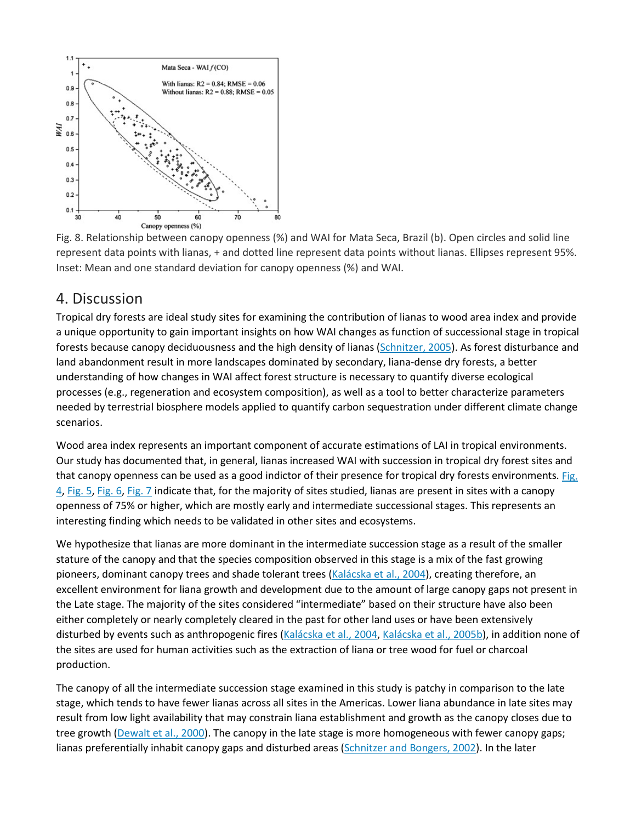

Fig. 8. Relationship between canopy openness (%) and WAI for Mata Seca, Brazil (b). Open circles and solid line represent data points with lianas, + and dotted line represent data points without lianas. Ellipses represent 95%. Inset: Mean and one standard deviation for canopy openness (%) and WAI.

## 4. Discussion

Tropical dry forests are ideal study sites for examining the contribution of lianas to wood area index and provide a unique opportunity to gain important insights on how WAI changes as function of successional stage in tropical forests because canopy deciduousness and the high density of lianas [\(Schnitzer, 2005\)](https://www.sciencedirect.com/science/article/pii/S0378112708007639?via%3Dihub#bib46). As forest disturbance and land abandonment result in more landscapes dominated by secondary, liana-dense dry forests, a better understanding of how changes in WAI affect forest structure is necessary to quantify diverse ecological processes (e.g., regeneration and ecosystem composition), as well as a tool to better characterize parameters needed by terrestrial biosphere models applied to quantify carbon sequestration under different climate change scenarios.

Wood area index represents an important component of accurate estimations of LAI in tropical environments. Our study has documented that, in general, lianas increased WAI with succession in tropical dry forest sites and that canopy openness can be used as a good indictor of their presence for tropical dry forests environments. Fig. [4,](https://www.sciencedirect.com/science/article/pii/S0378112708007639?via%3Dihub#fig4) [Fig. 5,](https://www.sciencedirect.com/science/article/pii/S0378112708007639?via%3Dihub#fig5) [Fig. 6,](https://www.sciencedirect.com/science/article/pii/S0378112708007639?via%3Dihub#fig6) [Fig. 7](https://www.sciencedirect.com/science/article/pii/S0378112708007639?via%3Dihub#fig7) indicate that, for the majority of sites studied, lianas are present in sites with a canopy openness of 75% or higher, which are mostly early and intermediate successional stages. This represents an interesting finding which needs to be validated in other sites and ecosystems.

We hypothesize that lianas are more dominant in the intermediate succession stage as a result of the smaller stature of the canopy and that the species composition observed in this stage is a mix of the fast growing pioneers, dominant canopy trees and shade tolerant trees [\(Kalácska et al., 2004\)](https://www.sciencedirect.com/science/article/pii/S0378112708007639?via%3Dihub#bib20), creating therefore, an excellent environment for liana growth and development due to the amount of large canopy gaps not present in the Late stage. The majority of the sites considered "intermediate" based on their structure have also been either completely or nearly completely cleared in the past for other land uses or have been extensively disturbed by events such as anthropogenic fires [\(Kalácska et al., 2004,](https://www.sciencedirect.com/science/article/pii/S0378112708007639?via%3Dihub#bib20) [Kalácska et al., 2005b\)](https://www.sciencedirect.com/science/article/pii/S0378112708007639?via%3Dihub#bib22), in addition none of the sites are used for human activities such as the extraction of liana or tree wood for fuel or charcoal production.

The canopy of all the intermediate succession stage examined in this study is patchy in comparison to the late stage, which tends to have fewer lianas across all sites in the Americas. Lower liana abundance in late sites may result from low light availability that may constrain liana establishment and growth as the canopy closes due to tree growth [\(Dewalt et al., 2000\)](https://www.sciencedirect.com/science/article/pii/S0378112708007639?via%3Dihub#bib8). The canopy in the late stage is more homogeneous with fewer canopy gaps; lianas preferentially inhabit canopy gaps and disturbed areas [\(Schnitzer and Bongers, 2002\)](https://www.sciencedirect.com/science/article/pii/S0378112708007639?via%3Dihub#bib47). In the later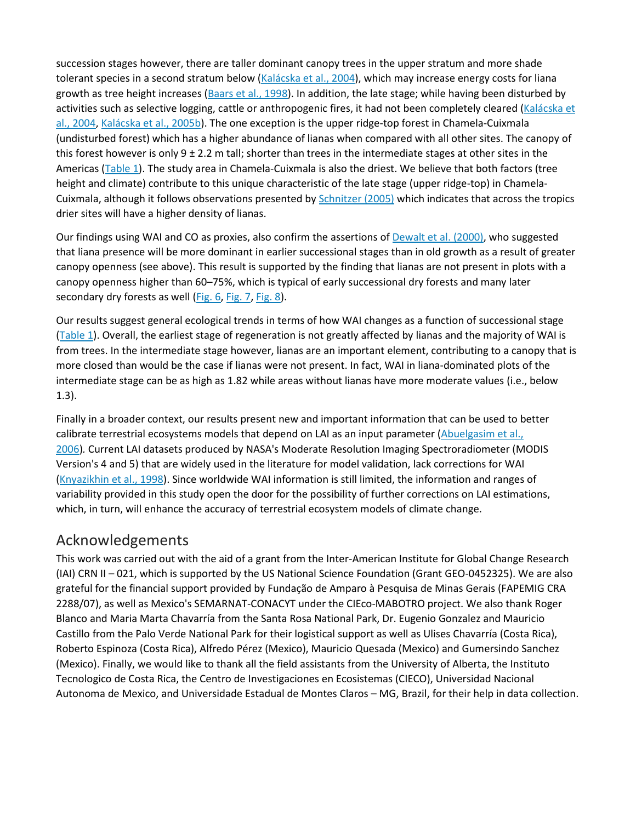succession stages however, there are taller dominant canopy trees in the upper stratum and more shade tolerant species in a second stratum below [\(Kalácska et al., 2004\)](https://www.sciencedirect.com/science/article/pii/S0378112708007639?via%3Dihub#bib20), which may increase energy costs for liana growth as tree height increases [\(Baars et al., 1998\)](https://www.sciencedirect.com/science/article/pii/S0378112708007639?via%3Dihub#bib3). In addition, the late stage; while having been disturbed by activities such as selective logging, cattle or anthropogenic fires, it had not been completely cleared (Kalácska et [al., 2004,](https://www.sciencedirect.com/science/article/pii/S0378112708007639?via%3Dihub#bib20) [Kalácska et al., 2005b\)](https://www.sciencedirect.com/science/article/pii/S0378112708007639?via%3Dihub#bib22). The one exception is the upper ridge-top forest in Chamela-Cuixmala (undisturbed forest) which has a higher abundance of lianas when compared with all other sites. The canopy of this forest however is only  $9 \pm 2.2$  m tall; shorter than trees in the intermediate stages at other sites in the Americas [\(Table 1\)](https://www.sciencedirect.com/science/article/pii/S0378112708007639?via%3Dihub#tbl1). The study area in Chamela-Cuixmala is also the driest. We believe that both factors (tree height and climate) contribute to this unique characteristic of the late stage (upper ridge-top) in Chamela-Cuixmala, although it follows observations presented by [Schnitzer \(2005\)](https://www.sciencedirect.com/science/article/pii/S0378112708007639?via%3Dihub#bib46) which indicates that across the tropics drier sites will have a higher density of lianas.

Our findings using WAI and CO as proxies, also confirm the assertions of [Dewalt et al. \(2000\),](https://www.sciencedirect.com/science/article/pii/S0378112708007639?via%3Dihub#bib8) who suggested that liana presence will be more dominant in earlier successional stages than in old growth as a result of greater canopy openness (see above). This result is supported by the finding that lianas are not present in plots with a canopy openness higher than 60–75%, which is typical of early successional dry forests and many later secondary dry forests as well [\(Fig. 6,](https://www.sciencedirect.com/science/article/pii/S0378112708007639?via%3Dihub#fig6) [Fig. 7,](https://www.sciencedirect.com/science/article/pii/S0378112708007639?via%3Dihub#fig7) [Fig. 8\)](https://www.sciencedirect.com/science/article/pii/S0378112708007639?via%3Dihub#fig8).

Our results suggest general ecological trends in terms of how WAI changes as a function of successional stage [\(Table 1\)](https://www.sciencedirect.com/science/article/pii/S0378112708007639?via%3Dihub#tbl1). Overall, the earliest stage of regeneration is not greatly affected by lianas and the majority of WAI is from trees. In the intermediate stage however, lianas are an important element, contributing to a canopy that is more closed than would be the case if lianas were not present. In fact, WAI in liana-dominated plots of the intermediate stage can be as high as 1.82 while areas without lianas have more moderate values (i.e., below 1.3).

Finally in a broader context, our results present new and important information that can be used to better calibrate terrestrial ecosystems models that depend on LAI as an input parameter [\(Abuelgasim et al.,](https://www.sciencedirect.com/science/article/pii/S0378112708007639?via%3Dihub#bib1)  [2006\)](https://www.sciencedirect.com/science/article/pii/S0378112708007639?via%3Dihub#bib1)*.* Current LAI datasets produced by NASA's Moderate Resolution Imaging Spectroradiometer (MODIS Version's 4 and 5) that are widely used in the literature for model validation, lack corrections for WAI [\(Knyazikhin et al., 1998\)](https://www.sciencedirect.com/science/article/pii/S0378112708007639?via%3Dihub#bib24). Since worldwide WAI information is still limited, the information and ranges of variability provided in this study open the door for the possibility of further corrections on LAI estimations, which, in turn, will enhance the accuracy of terrestrial ecosystem models of climate change.

## Acknowledgements

This work was carried out with the aid of a grant from the Inter-American Institute for Global Change Research (IAI) CRN II – 021, which is supported by the US National Science Foundation (Grant GEO-0452325). We are also grateful for the financial support provided by Fundação de Amparo à Pesquisa de Minas Gerais (FAPEMIG CRA 2288/07), as well as Mexico's SEMARNAT-CONACYT under the CIEco-MABOTRO project. We also thank Roger Blanco and Maria Marta Chavarría from the Santa Rosa National Park, Dr. Eugenio Gonzalez and Mauricio Castillo from the Palo Verde National Park for their logistical support as well as Ulises Chavarría (Costa Rica), Roberto Espinoza (Costa Rica), Alfredo Pérez (Mexico), Mauricio Quesada (Mexico) and Gumersindo Sanchez (Mexico). Finally, we would like to thank all the field assistants from the University of Alberta, the Instituto Tecnologico de Costa Rica, the Centro de Investigaciones en Ecosistemas (CIECO), Universidad Nacional Autonoma de Mexico, and Universidade Estadual de Montes Claros – MG, Brazil, for their help in data collection.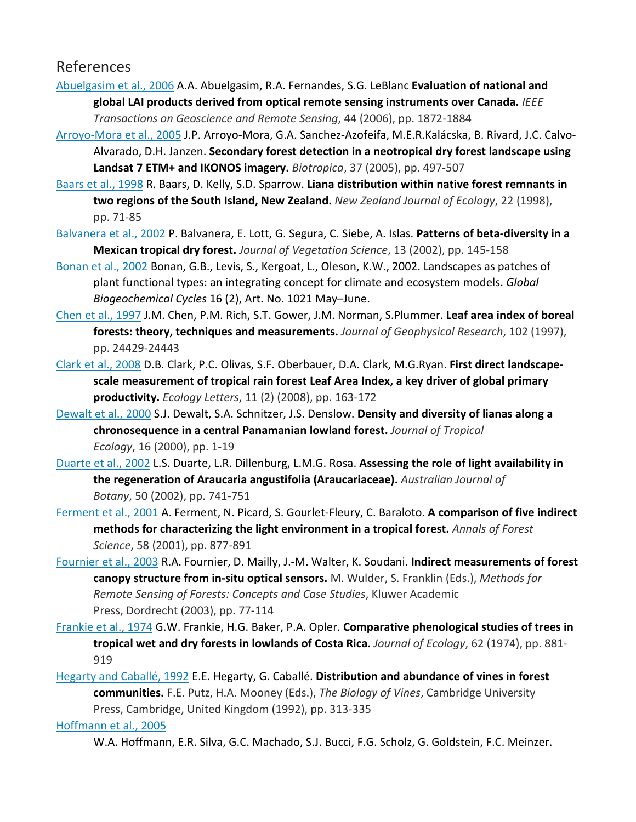## References

- [Abuelgasim et al., 2006](https://www.sciencedirect.com/science/article/pii/S0378112708007639?via%3Dihub#bbib1) A.A. Abuelgasim, R.A. Fernandes, S.G. LeBlanc **Evaluation of national and global LAI products derived from optical remote sensing instruments over Canada.** *IEEE Transactions on Geoscience and Remote Sensing*, 44 (2006), pp. 1872-1884
- [Arroyo-Mora et al., 2005](https://www.sciencedirect.com/science/article/pii/S0378112708007639?via%3Dihub#bbib2) J.P. Arroyo-Mora, G.A. Sanchez-Azofeifa, M.E.R.Kalácska, B. Rivard, J.C. Calvo-Alvarado, D.H. Janzen. **Secondary forest detection in a neotropical dry forest landscape using Landsat 7 ETM+ and IKONOS imagery.** *Biotropica*, 37 (2005), pp. 497-507
- [Baars et al., 1998](https://www.sciencedirect.com/science/article/pii/S0378112708007639?via%3Dihub#bbib3) R. Baars, D. Kelly, S.D. Sparrow. **Liana distribution within native forest remnants in two regions of the South Island, New Zealand.** *New Zealand Journal of Ecology*, 22 (1998), pp. 71-85
- [Balvanera et al., 2002](https://www.sciencedirect.com/science/article/pii/S0378112708007639?via%3Dihub#bbib4) P. Balvanera, E. Lott, G. Segura, C. Siebe, A. Islas. **Patterns of beta-diversity in a Mexican tropical dry forest.** *Journal of Vegetation Science*, 13 (2002), pp. 145-158
- [Bonan et al., 2002](https://www.sciencedirect.com/science/article/pii/S0378112708007639?via%3Dihub#bbib5) Bonan, G.B., Levis, S., Kergoat, L., Oleson, K.W., 2002. Landscapes as patches of plant functional types: an integrating concept for climate and ecosystem models. *Global Biogeochemical Cycles* 16 (2), Art. No. 1021 May–June.
- [Chen et al., 1997](https://www.sciencedirect.com/science/article/pii/S0378112708007639?via%3Dihub#bbib6) J.M. Chen, P.M. Rich, S.T. Gower, J.M. Norman, S.Plummer. **Leaf area index of boreal forests: theory, techniques and measurements.** *Journal of Geophysical Research*, 102 (1997), pp. 24429-24443
- [Clark et al., 2008](https://www.sciencedirect.com/science/article/pii/S0378112708007639?via%3Dihub#bbib7) D.B. Clark, P.C. Olivas, S.F. Oberbauer, D.A. Clark, M.G.Ryan. **First direct landscapescale measurement of tropical rain forest Leaf Area Index, a key driver of global primary productivity.** *Ecology Letters*, 11 (2) (2008), pp. 163-172
- [Dewalt et al., 2000](https://www.sciencedirect.com/science/article/pii/S0378112708007639?via%3Dihub#bbib8) S.J. Dewalt, S.A. Schnitzer, J.S. Denslow. **Density and diversity of lianas along a chronosequence in a central Panamanian lowland forest.** *Journal of Tropical Ecology*, 16 (2000), pp. 1-19
- [Duarte et al., 2002](https://www.sciencedirect.com/science/article/pii/S0378112708007639?via%3Dihub#bbib9) L.S. Duarte, L.R. Dillenburg, L.M.G. Rosa. **Assessing the role of light availability in the regeneration of Araucaria angustifolia (Araucariaceae).** *Australian Journal of Botany*, 50 (2002), pp. 741-751
- [Ferment et al., 2001](https://www.sciencedirect.com/science/article/pii/S0378112708007639?via%3Dihub#bbib10) A. Ferment, N. Picard, S. Gourlet-Fleury, C. Baraloto. **A comparison of five indirect methods for characterizing the light environment in a tropical forest.** *Annals of Forest Science*, 58 (2001), pp. 877-891
- [Fournier et al., 2003](https://www.sciencedirect.com/science/article/pii/S0378112708007639?via%3Dihub#bbib11) R.A. Fournier, D. Mailly, J.-M. Walter, K. Soudani. **Indirect measurements of forest canopy structure from in-situ optical sensors.** M. Wulder, S. Franklin (Eds.), *Methods for Remote Sensing of Forests: Concepts and Case Studies*, Kluwer Academic Press, Dordrecht (2003), pp. 77-114
- [Frankie et al., 1974](https://www.sciencedirect.com/science/article/pii/S0378112708007639?via%3Dihub#bbib12) G.W. Frankie, H.G. Baker, P.A. Opler. **Comparative phenological studies of trees in tropical wet and dry forests in lowlands of Costa Rica.** *Journal of Ecology*, 62 (1974), pp. 881- 919
- [Hegarty and Caballé, 1992](https://www.sciencedirect.com/science/article/pii/S0378112708007639?via%3Dihub#bbib13) E.E. Hegarty, G. Caballé. **Distribution and abundance of vines in forest communities.** F.E. Putz, H.A. Mooney (Eds.), *The Biology of Vines*, Cambridge University Press, Cambridge, United Kingdom (1992), pp. 313-335

#### [Hoffmann et al., 2005](https://www.sciencedirect.com/science/article/pii/S0378112708007639?via%3Dihub#bbib14)

W.A. Hoffmann, E.R. Silva, G.C. Machado, S.J. Bucci, F.G. Scholz, G. Goldstein, F.C. Meinzer.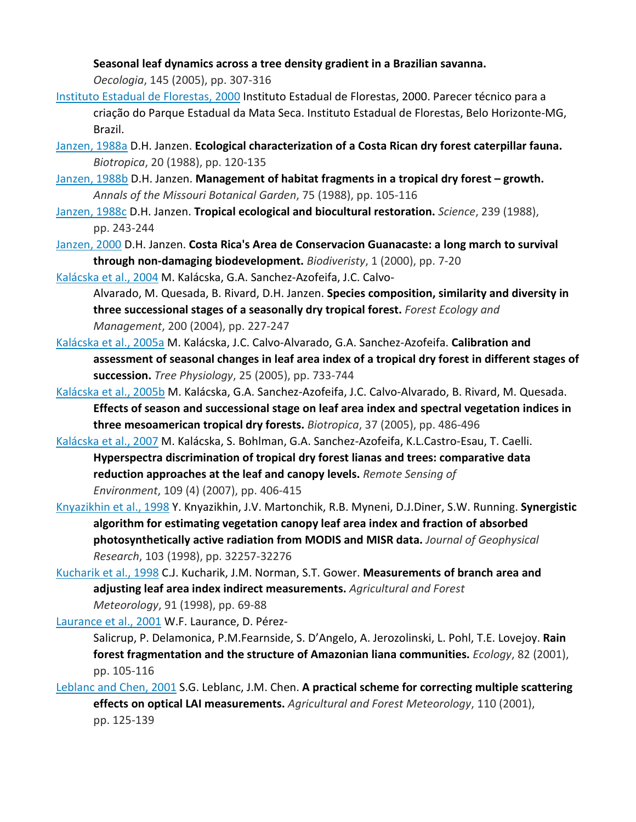#### **Seasonal leaf dynamics across a tree density gradient in a Brazilian savanna.**

*Oecologia*, 145 (2005), pp. 307-316

- [Instituto Estadual de Florestas, 2000](https://www.sciencedirect.com/science/article/pii/S0378112708007639?via%3Dihub#bbib15) Instituto Estadual de Florestas, 2000. Parecer técnico para a criação do Parque Estadual da Mata Seca. Instituto Estadual de Florestas, Belo Horizonte-MG, Brazil.
- [Janzen, 1988a](https://www.sciencedirect.com/science/article/pii/S0378112708007639?via%3Dihub#bbib16) D.H. Janzen. **Ecological characterization of a Costa Rican dry forest caterpillar fauna.**  *Biotropica*, 20 (1988), pp. 120-135
- [Janzen, 1988b](https://www.sciencedirect.com/science/article/pii/S0378112708007639?via%3Dihub#bbib17) D.H. Janzen. **Management of habitat fragments in a tropical dry forest – growth.**  *Annals of the Missouri Botanical Garden*, 75 (1988), pp. 105-116
- [Janzen, 1988c](https://www.sciencedirect.com/science/article/pii/S0378112708007639?via%3Dihub#bbib18) D.H. Janzen. **Tropical ecological and biocultural restoration.** *Science*, 239 (1988), pp. 243-244
- [Janzen, 2000](https://www.sciencedirect.com/science/article/pii/S0378112708007639?via%3Dihub#bbib19) D.H. Janzen. **Costa Rica's Area de Conservacion Guanacaste: a long march to survival through non-damaging biodevelopment.** *Biodiveristy*, 1 (2000), pp. 7-20

[Kalácska et al., 2004](https://www.sciencedirect.com/science/article/pii/S0378112708007639?via%3Dihub#bbib20) M. Kalácska, G.A. Sanchez-Azofeifa, J.C. Calvo-

Alvarado, M. Quesada, B. Rivard, D.H. Janzen. **Species composition, similarity and diversity in three successional stages of a seasonally dry tropical forest.** *Forest Ecology and Management*, 200 (2004), pp. 227-247

- [Kalácska et al., 2005a](https://www.sciencedirect.com/science/article/pii/S0378112708007639?via%3Dihub#bbib21) M. Kalácska, J.C. Calvo-Alvarado, G.A. Sanchez-Azofeifa. **Calibration and assessment of seasonal changes in leaf area index of a tropical dry forest in different stages of succession.** *Tree Physiology*, 25 (2005), pp. 733-744
- [Kalácska et al., 2005b](https://www.sciencedirect.com/science/article/pii/S0378112708007639?via%3Dihub#bbib22) M. Kalácska, G.A. Sanchez-Azofeifa, J.C. Calvo-Alvarado, B. Rivard, M. Quesada. **Effects of season and successional stage on leaf area index and spectral vegetation indices in three mesoamerican tropical dry forests.** *Biotropica*, 37 (2005), pp. 486-496
- [Kalácska et al., 2007](https://www.sciencedirect.com/science/article/pii/S0378112708007639?via%3Dihub#bbib23) M. Kalácska, S. Bohlman, G.A. Sanchez-Azofeifa, K.L.Castro-Esau, T. Caelli. **Hyperspectra discrimination of tropical dry forest lianas and trees: comparative data reduction approaches at the leaf and canopy levels.** *Remote Sensing of Environment*, 109 (4) (2007), pp. 406-415
- [Knyazikhin et al., 1998](https://www.sciencedirect.com/science/article/pii/S0378112708007639?via%3Dihub#bbib24) Y. Knyazikhin, J.V. Martonchik, R.B. Myneni, D.J.Diner, S.W. Running. **Synergistic algorithm for estimating vegetation canopy leaf area index and fraction of absorbed photosynthetically active radiation from MODIS and MISR data.** *Journal of Geophysical Research*, 103 (1998), pp. 32257-32276
- [Kucharik et al., 1998](https://www.sciencedirect.com/science/article/pii/S0378112708007639?via%3Dihub#bbib25) C.J. Kucharik, J.M. Norman, S.T. Gower. **Measurements of branch area and adjusting leaf area index indirect measurements.** *Agricultural and Forest*

*Meteorology*, 91 (1998), pp. 69-88

[Laurance et al., 2001](https://www.sciencedirect.com/science/article/pii/S0378112708007639?via%3Dihub#bbib26) W.F. Laurance, D. Pérez-

- Salicrup, P. Delamonica, P.M.Fearnside, S. D'Angelo, A. Jerozolinski, L. Pohl, T.E. Lovejoy. **Rain forest fragmentation and the structure of Amazonian liana communities.** *Ecology*, 82 (2001), pp. 105-116
- [Leblanc and Chen, 2001](https://www.sciencedirect.com/science/article/pii/S0378112708007639?via%3Dihub#bbib27) S.G. Leblanc, J.M. Chen. **A practical scheme for correcting multiple scattering effects on optical LAI measurements.** *Agricultural and Forest Meteorology*, 110 (2001), pp. 125-139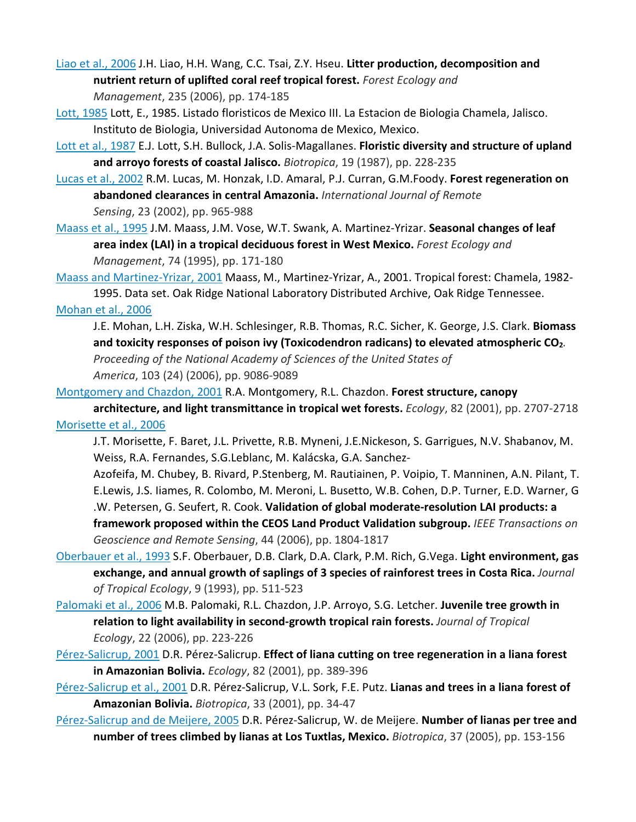[Liao et al., 2006](https://www.sciencedirect.com/science/article/pii/S0378112708007639?via%3Dihub#bbib28) J.H. Liao, H.H. Wang, C.C. Tsai, Z.Y. Hseu. **Litter production, decomposition and nutrient return of uplifted coral reef tropical forest.** *Forest Ecology and Management*, 235 (2006), pp. 174-185

[Lott, 1985](https://www.sciencedirect.com/science/article/pii/S0378112708007639?via%3Dihub#bbib29) Lott, E., 1985. Listado floristicos de Mexico III. La Estacion de Biologia Chamela, Jalisco. Instituto de Biologia, Universidad Autonoma de Mexico, Mexico.

[Lott et al., 1987](https://www.sciencedirect.com/science/article/pii/S0378112708007639?via%3Dihub#bbib30) E.J. Lott, S.H. Bullock, J.A. Solis-Magallanes. **Floristic diversity and structure of upland and arroyo forests of coastal Jalisco.** *Biotropica*, 19 (1987), pp. 228-235

[Lucas et al., 2002](https://www.sciencedirect.com/science/article/pii/S0378112708007639?via%3Dihub#bbib31) R.M. Lucas, M. Honzak, I.D. Amaral, P.J. Curran, G.M.Foody. **Forest regeneration on abandoned clearances in central Amazonia.** *International Journal of Remote Sensing*, 23 (2002), pp. 965-988

[Maass et al., 1995](https://www.sciencedirect.com/science/article/pii/S0378112708007639?via%3Dihub#bbib32) J.M. Maass, J.M. Vose, W.T. Swank, A. Martinez-Yrizar. **Seasonal changes of leaf area index (LAI) in a tropical deciduous forest in West Mexico.** *Forest Ecology and Management*, 74 (1995), pp. 171-180

[Maass and Martinez-Yrizar, 2001](https://www.sciencedirect.com/science/article/pii/S0378112708007639?via%3Dihub#bbib33) Maass, M., Martinez-Yrizar, A., 2001. Tropical forest: Chamela, 1982- 1995. Data set. Oak Ridge National Laboratory Distributed Archive, Oak Ridge Tennessee.

[Mohan et al., 2006](https://www.sciencedirect.com/science/article/pii/S0378112708007639?via%3Dihub#bbib34)

J.E. Mohan, L.H. Ziska, W.H. Schlesinger, R.B. Thomas, R.C. Sicher, K. George, J.S. Clark. **Biomass**  and toxicity responses of poison ivy (Toxicodendron radicans) to elevated atmospheric CO<sub>2</sub>. *Proceeding of the National Academy of Sciences of the United States of America*, 103 (24) (2006), pp. 9086-9089

[Montgomery and Chazdon, 2001](https://www.sciencedirect.com/science/article/pii/S0378112708007639?via%3Dihub#bbib35) R.A. Montgomery, R.L. Chazdon. **Forest structure, canopy** 

**architecture, and light transmittance in tropical wet forests.** *Ecology*, 82 (2001), pp. 2707-2718 [Morisette et al., 2006](https://www.sciencedirect.com/science/article/pii/S0378112708007639?via%3Dihub#bbib36)

J.T. Morisette, F. Baret, J.L. Privette, R.B. Myneni, J.E.Nickeson, S. Garrigues, N.V. Shabanov, M. Weiss, R.A. Fernandes, S.G.Leblanc, M. Kalácska, G.A. Sanchez-

Azofeifa, M. Chubey, B. Rivard, P.Stenberg, M. Rautiainen, P. Voipio, T. Manninen, A.N. Pilant, T. E.Lewis, J.S. Iiames, R. Colombo, M. Meroni, L. Busetto, W.B. Cohen, D.P. Turner, E.D. Warner, G .W. Petersen, G. Seufert, R. Cook. **Validation of global moderate-resolution LAI products: a framework proposed within the CEOS Land Product Validation subgroup.** *IEEE Transactions on Geoscience and Remote Sensing*, 44 (2006), pp. 1804-1817

[Oberbauer et al., 1993](https://www.sciencedirect.com/science/article/pii/S0378112708007639?via%3Dihub#bbib37) S.F. Oberbauer, D.B. Clark, D.A. Clark, P.M. Rich, G.Vega. **Light environment, gas exchange, and annual growth of saplings of 3 species of rainforest trees in Costa Rica.** *Journal of Tropical Ecology*, 9 (1993), pp. 511-523

[Palomaki et al., 2006](https://www.sciencedirect.com/science/article/pii/S0378112708007639?via%3Dihub#bbib38) M.B. Palomaki, R.L. Chazdon, J.P. Arroyo, S.G. Letcher. **Juvenile tree growth in relation to light availability in second-growth tropical rain forests.** *Journal of Tropical Ecology*, 22 (2006), pp. 223-226

[Pérez-Salicrup, 2001](https://www.sciencedirect.com/science/article/pii/S0378112708007639?via%3Dihub#bbib39) D.R. Pérez-Salicrup. **Effect of liana cutting on tree regeneration in a liana forest in Amazonian Bolivia.** *Ecology*, 82 (2001), pp. 389-396

[Pérez-Salicrup et al., 2001](https://www.sciencedirect.com/science/article/pii/S0378112708007639?via%3Dihub#bbib40) D.R. Pérez-Salicrup, V.L. Sork, F.E. Putz. **Lianas and trees in a liana forest of Amazonian Bolivia.** *Biotropica*, 33 (2001), pp. 34-47

[Pérez-Salicrup and de Meijere, 2005](https://www.sciencedirect.com/science/article/pii/S0378112708007639?via%3Dihub#bbib41) D.R. Pérez-Salicrup, W. de Meijere. **Number of lianas per tree and number of trees climbed by lianas at Los Tuxtlas, Mexico.** *Biotropica*, 37 (2005), pp. 153-156